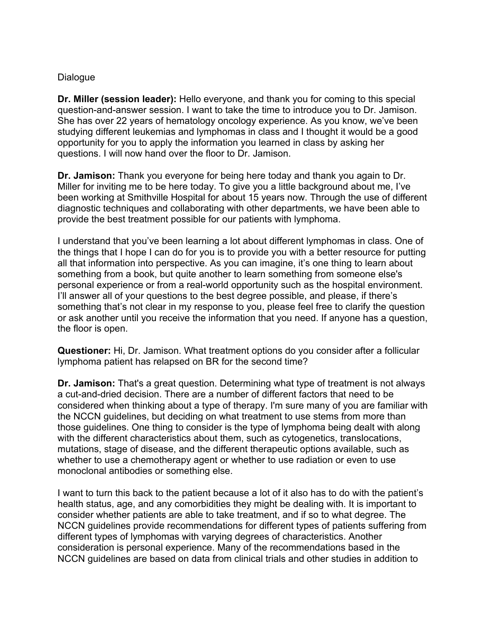## Dialogue

**Dr. Miller (session leader):** Hello everyone, and thank you for coming to this special question-and-answer session. I want to take the time to introduce you to Dr. Jamison. She has over 22 years of hematology oncology experience. As you know, we've been studying different leukemias and lymphomas in class and I thought it would be a good opportunity for you to apply the information you learned in class by asking her questions. I will now hand over the floor to Dr. Jamison.

**Dr. Jamison:** Thank you everyone for being here today and thank you again to Dr. Miller for inviting me to be here today. To give you a little background about me, I've been working at Smithville Hospital for about 15 years now. Through the use of different diagnostic techniques and collaborating with other departments, we have been able to provide the best treatment possible for our patients with lymphoma.

I understand that you've been learning a lot about different lymphomas in class. One of the things that I hope I can do for you is to provide you with a better resource for putting all that information into perspective. As you can imagine, it's one thing to learn about something from a book, but quite another to learn something from someone else's personal experience or from a real-world opportunity such as the hospital environment. I'll answer all of your questions to the best degree possible, and please, if there's something that's not clear in my response to you, please feel free to clarify the question or ask another until you receive the information that you need. If anyone has a question, the floor is open.

**Questioner:** Hi, Dr. Jamison. What treatment options do you consider after a follicular lymphoma patient has relapsed on BR for the second time?

**Dr. Jamison:** That's a great question. Determining what type of treatment is not always a cut-and-dried decision. There are a number of different factors that need to be considered when thinking about a type of therapy. I'm sure many of you are familiar with the NCCN guidelines, but deciding on what treatment to use stems from more than those guidelines. One thing to consider is the type of lymphoma being dealt with along with the different characteristics about them, such as cytogenetics, translocations, mutations, stage of disease, and the different therapeutic options available, such as whether to use a chemotherapy agent or whether to use radiation or even to use monoclonal antibodies or something else.

I want to turn this back to the patient because a lot of it also has to do with the patient's health status, age, and any comorbidities they might be dealing with. It is important to consider whether patients are able to take treatment, and if so to what degree. The NCCN guidelines provide recommendations for different types of patients suffering from different types of lymphomas with varying degrees of characteristics. Another consideration is personal experience. Many of the recommendations based in the NCCN guidelines are based on data from clinical trials and other studies in addition to